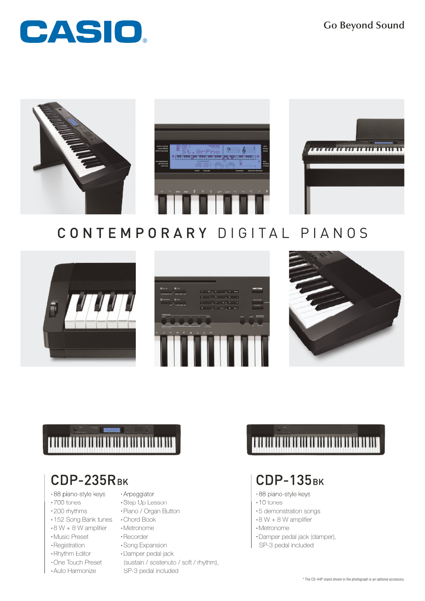**Go Beyond Sound**





## CONTEMPORARY DIGITAL PIANOS







# 100000000000000000000000000

## CDP-235RBK

- •88 piano-style keys
- ·700 tones
- ·200 rhythms
- ·152 Song Bank tunes ·Chord Book
- $\cdot$  8 W + 8 W amplifier
- ·Music Preset
- ·Registration
- ·Rhythm Editor
- ·One Touch Preset
- ·Auto Harmonize
- · Arpeggiator
- ·Step Up Lesson
- ·Piano / Organ Button
	-
- ·Metronome
- ·Recorder
- ·Song Expansion
- ·Damper pedal jack
- (sustain / sostenuto / soft / rhythm), SP-3 pedal included

# 100000000000000000000000000000

### **СDP-135BK**

- •88 piano-style keys
- ·10 tones
- ·5 demonstration songs
- $\cdot$  8 W + 8 W amplifier
- ·Metronome
- ·Damper pedal jack (damper), SP-3 pedal included